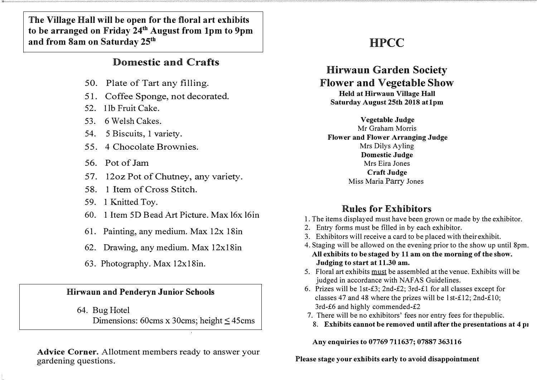**The Village Hall will be open for the floral art exhibits to be arranged on Friday 24 th August from 1 pm to 9pm and from 8am on Saturday 25th**

## Domestic and Crafts

- 50. Plate of Tart any filling.
- 51. Coffee Sponge, not decorated.
- 52. l lb Fruit Cake.
- 53. 6 Welsh Cakes.
- 54. 5 Biscuits, **1** variety.
- 55. 4 Chocolate Brownies.
- 56. Pot of Jam
- 57. 12oz Pot of Chutney, any variety.
- 58. 1 Item of Cross Stitch.
- 59. 1 Knitted Toy.
- 60. 1 Item 5D Bead Art Picture. Max 16x 16in
- 61. Painting, any medium. Max 12x 18in
- 62. Drawing, any medium. Max 12x18in
- 63. Photography. Max 12x18in.

#### **Hirwaun and Penderyn Junior** Schools

64. Bug Hotel Dimensions: 60cms x 30cms; height  $\leq$  45cms

**Advice Corner.** Allotment members ready to answer your gardening questions.

# **HPCC**

# **Hirwaun Garden Society Flower and Vegetable Show**

Held at Hirwaun Village Hall Saturday August 25th 2018 atlpm

**Vegetable Judge**  Mr Graham Morris Flower and Flower Arranging Judge Mrs Dilys Ayling **Domestic Judge**  Mrs Eira Jones Craft **Judge**  Miss Maria Parry Jones

## **Rules for Exhibitors**

- 1. The items displayed must have been grown or made by the exhibitor.
- 2. Entry forms must be filled in by each exhibitor.
- 3. Exhibitors will receive a card to be placed with their exhibit.
- 4. Staging will be allowed on the evening prior to the show up until 8pm. All exhibits to be staged by 11 am on the morning of the show. Judging to start at 11.30 am.
- 5. Floral art exhibits must be assembled at the venue. Exhibits will be judged in accordance with NAFAS Guidelines.
- 6. Prizes will be lst-£3; 2nd-£2; 3rd-£1 for all classes except for classes 47 and 48 where the prizes will be 1st-£12; 2nd-£10; 3rd-£6 and highly commended-£2
- 7. There will be no exhibitors' fees nor entry fees for thepublic.
	- 8. Exhibits cannot be removed until after the presentations at 4 pi

Any enquiries to 07769 711637; 07887 363116

Please stage your exhibits early to avoid disappointment